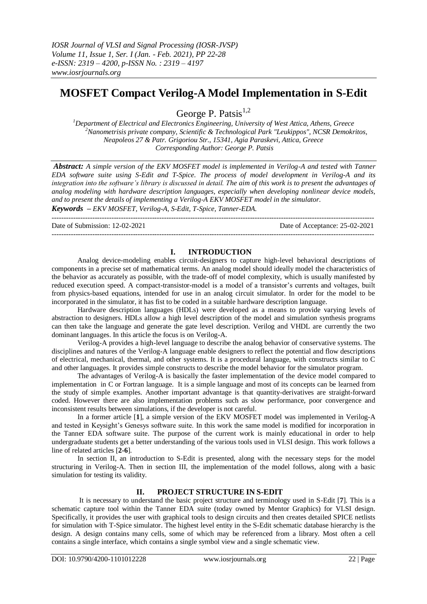# **MOSFET Compact Verilog-A Model Implementation in S-Edit**

George P. Patsis<sup>1,2</sup>

*<sup>1</sup>Department of Electrical and Electronics Engineering, University of West Attica, Athens, Greece <sup>2</sup>Nanometrisis private company, Scientific & Technological Park "Leukippos", NCSR Demokritos, Neapoleos 27 & Patr. Grigoriou Str., 15341, Agia Paraskevi, Attica, Greece Corresponding Author: George P. Patsis* 

*Abstract: A simple version of the EKV MOSFET model is implemented in Verilog-A and tested with Tanner EDA software suite using S-Edit and T-Spice. The process of model development in Verilog-A and its integration into the software's library is discussed in detail. The aim of this work is to present the advantages of analog modeling with hardware description languages, especially when developing nonlinear device models, and to present the details of implementing a Verilog-A EKV MOSFET model in the simulator.* 

*Keywords – EKV MOSFET, Verilog-A, S-Edit, T-Spice, Tanner-EDA.* ---------------------------------------------------------------------------------------------------------------------------------------

Date of Submission: 12-02-2021 Date of Acceptance: 25-02-2021

## **I. INTRODUCTION**

---------------------------------------------------------------------------------------------------------------------------------------

Analog device-modeling enables circuit-designers to capture high-level behavioral descriptions of components in a precise set of mathematical terms. An analog model should ideally model the characteristics of the behavior as accurately as possible, with the trade-off of model complexity, which is usually manifested by reduced execution speed. A compact-transistor-model is a model of a transistor's currents and voltages, built from physics-based equations, intended for use in an analog circuit simulator. In order for the model to be incorporated in the simulator, it has fist to be coded in a suitable hardware description language.

Hardware description languages (HDLs) were developed as a means to provide varying levels of abstraction to designers. HDLs allow a high level description of the model and simulation synthesis programs can then take the language and generate the gate level description. Verilog and VHDL are currently the two dominant languages. In this article the focus is on Verilog-A.

Verilog-A provides a high-level language to describe the analog behavior of conservative systems. The disciplines and natures of the Verilog-A language enable designers to reflect the potential and flow descriptions of electrical, mechanical, thermal, and other systems. It is a procedural language, with constructs similar to C and other languages. It provides simple constructs to describe the model behavior for the simulator program.

The advantages of Verilog-A is basically the faster implementation of the device model compared to implementation in C or Fortran language. It is a simple language and most of its concepts can be learned from the study of simple examples. Another important advantage is that quantity-derivatives are straight-forward coded. However there are also implementation problems such as slow performance, poor convergence and inconsistent results between simulations, if the developer is not careful.

In a former article [**1**], a simple version of the EKV MOSFET model was implemented in Verilog-A and tested in Keysight's Genesys software suite. In this work the same model is modified for incorporation in the Tanner EDA software suite. The purpose of the current work is mainly educational in order to help undergraduate students get a better understanding of the various tools used in VLSI design. This work follows a line of related articles [**2-6**].

In section II, an introduction to S-Edit is presented, along with the necessary steps for the model structuring in Verilog-A. Then in section III, the implementation of the model follows, along with a basic simulation for testing its validity.

## **II. PROJECT STRUCTURE IN S-EDIT**

It is necessary to understand the basic project structure and terminology used in S-Edit [**7**]. This is a schematic capture tool within the Tanner EDA suite (today owned by Mentor Graphics) for VLSI design. Specifically, it provides the user with graphical tools to design circuits and then creates detailed SPICE netlists for simulation with T-Spice simulator. The highest level entity in the S-Edit schematic database hierarchy is the design. A design contains many cells, some of which may be referenced from a library. Most often a cell contains a single interface, which contains a single symbol view and a single schematic view.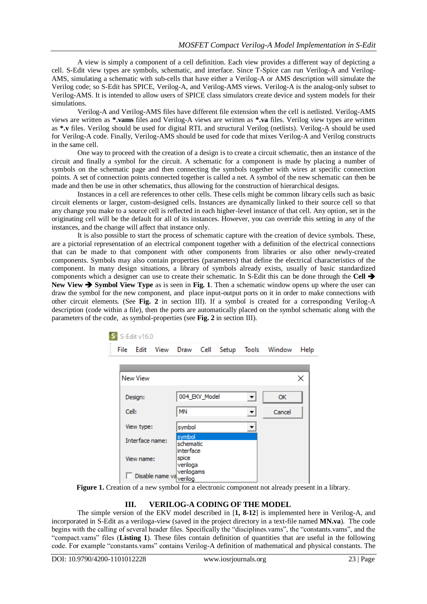A view is simply a component of a cell definition. Each view provides a different way of depicting a cell. S-Edit view types are symbols, schematic, and interface. Since T-Spice can run Verilog-A and Verilog-AMS, simulating a schematic with sub-cells that have either a Verilog-A or AMS description will simulate the Verilog code; so S-Edit has SPICE, Verilog-A, and Verilog-AMS views. Verilog-A is the analog-only subset to Verilog-AMS. It is intended to allow users of SPICE class simulators create device and system models for their simulations.

Verilog-A and Verilog-AMS files have different file extension when the cell is netlisted. Verilog-AMS views are written as **\*.vams** files and Verilog-A views are written as **\*.va** files. Verilog view types are written as **\*.v** files. Verilog should be used for digital RTL and structural Verilog (netlists). Verilog-A should be used for Verilog-A code. Finally, Verilog-AMS should be used for code that mixes Verilog-A and Verilog constructs in the same cell.

One way to proceed with the creation of a design is to create a circuit schematic, then an instance of the circuit and finally a symbol for the circuit. A schematic for a component is made by placing a number of symbols on the schematic page and then connecting the symbols together with wires at specific connection points. A set of connection points connected together is called a net. A symbol of the new schematic can then be made and then be use in other schematics, thus allowing for the construction of hierarchical designs.

Instances in a cell are references to other cells. These cells might be common library cells such as basic circuit elements or larger, custom-designed cells. Instances are dynamically linked to their source cell so that any change you make to a source cell is reflected in each higher-level instance of that cell. Any option, set in the originating cell will be the default for all of its instances. However, you can override this setting in any of the instances, and the change will affect that instance only.

It is also possible to start the process of schematic capture with the creation of device symbols. These, are a pictorial representation of an electrical component together with a definition of the electrical connections that can be made to that component with other components from libraries or also other newly-created components. Symbols may also contain properties (parameters) that define the electrical characteristics of the component. In many design situations, a library of symbols already exists, usually of basic standardized components which a designer can use to create their schematic. In S-Edit this can be done through the **Cell**  New View **→** Symbol View Type as is seen in Fig. 1. Then a schematic window opens up where the user can draw the symbol for the new component, and place input-output ports on it in order to make connections with other circuit elements. (See **Fig. 2** in section III). If a symbol is created for a corresponding Verilog-A description (code within a file), then the ports are automatically placed on the symbol schematic along with the parameters of the code, as symbol-properties (see **Fig. 2** in section III).

| S-Edit v16.0                       |                  |                 |                   |                                  |               |       |  |              |      |  |  |
|------------------------------------|------------------|-----------------|-------------------|----------------------------------|---------------|-------|--|--------------|------|--|--|
|                                    | File             | Edit            | View              | Draw                             | Cell          | Setup |  | Tools Window | Help |  |  |
|                                    |                  |                 |                   |                                  |               |       |  |              |      |  |  |
|                                    |                  | <b>New View</b> |                   |                                  |               |       |  |              | ×    |  |  |
|                                    | Design:<br>Cell: |                 |                   |                                  | 004 EKV Model |       |  | <b>OK</b>    |      |  |  |
|                                    |                  |                 |                   | <b>MN</b>                        |               |       |  | Cancel       |      |  |  |
|                                    | View type:       |                 | symbol            |                                  |               |       |  |              |      |  |  |
| Interface name:                    |                  |                 |                   | symbol<br>schematic<br>interface |               |       |  |              |      |  |  |
| View name:                         |                  |                 | spice<br>veriloga |                                  |               |       |  |              |      |  |  |
| Disable name va <sub>verilon</sub> |                  |                 |                   | verilogams                       |               |       |  |              |      |  |  |

**Figure 1.** Creation of a new symbol for a electronic component not already present in a library.

### **III. VERILOG-A CODING OF THE MODEL**

The simple version of the EKV model described in [**1, 8-12**] is implemented here in Verilog-A, and incorporated in S-Edit as a veriloga-view (saved in the project directory in a text-file named **MN.va**). The code begins with the calling of several header files. Specifically the "disciplines.vams", the "constants.vams", and the "compact.vams" files (**Listing 1**). These files contain definition of quantities that are useful in the following code. For example "constants.vams" contains Verilog-A definition of mathematical and physical constants. The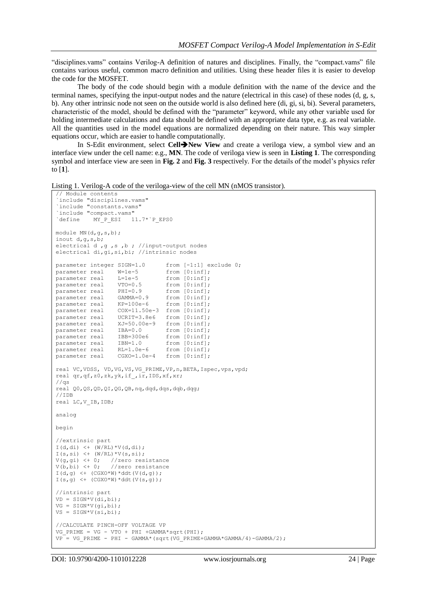"disciplines.vams" contains Verilog-A definition of natures and disciplines. Finally, the "compact.vams" file contains various useful, common macro definition and utilities. Using these header files it is easier to develop the code for the MOSFET.

The body of the code should begin with a module definition with the name of the device and the terminal names, specifying the input-output nodes and the nature (electrical in this case) of these nodes (d, g, s, b). Any other intrinsic node not seen on the outside world is also defined here (di, gi, si, bi). Several parameters, characteristic of the model, should be defined with the "parameter" keyword, while any other variable used for holding intermediate calculations and data should be defined with an appropriate data type, e.g. as real variable. All the quantities used in the model equations are normalized depending on their nature. This way simpler equations occur, which are easier to handle computationally.

In S-Edit environment, select **Cell>New View** and create a veriloga view, a symbol view and an interface view under the cell name: e.g., **MN**. The code of veriloga view is seen in **Listing 1**. The corresponding symbol and interface view are seen in **Fig. 2** and **Fig. 3** respectively. For the details of the model's physics refer to [**1**].

Listing 1. Verilog-A code of the veriloga-view of the cell MN (nMOS transistor).

```
// Module contents
 `include "disciplines.vams" 
`include "constants.vams"
`include "compact.vams"<br>
`define MY_P_ESI 1
            MY P ESI 11.7*`P EPS0
module MN(d,g,s,b);
inout d,g,s,b;
electrical d , g , s , b ; //input-output nodes
electrical di,gi,si,bi; //intrinsic nodes
parameter integer SIGN=1.0 from [-1:1] exclude 0;
parameter real W=1e-5 from [0:inf];<br>parameter real L=1e-5 from [0:inf];
.<br>parameter real
parameter real VTO=0.5 from [0:inf];<br>parameter real PHI=0.9 from [0:inf];
parameter real PHI=0.9
parameter real GAMMA=0.9 from [0:inf];<br>parameter real KP=100e-6 from [0:inf];
parameter real KP=100e-6<br>parameter real C0X=11.50eCOX=11.50e-3 from [0:inf];parameter real UCRIT=3.8e6 from [0:inf];
parameter real XJ=50.00e-9 from [0:inf];
parameter real IBA=0.0 from [0:inf];<br>parameter real IBB=300e6 from [0:inf];
parameter real IBB=300e6 from [0:inf];<br>parameter real IBB=300e6 from [0:inf];<br>parameter real IBN=1.0 from [0:inf]:
parameter real
parameter real RL=1.0e-6 from [0:inf];
parameter real  CGXO=1.0e-4  from [0:inf];
real VC,VDSS, VD,VG,VS,VG_PRIME,VP,n,BETA,Ispec,vps,vpd;
real qr,qf,z0,zk,yk,if_,ir,IDS,xf,xr;
1/\sigma sreal Q0,QS,QD,QI,QG,QB,nq,dqd,dqs,dqb,dqg;
//IDB
real LC,V_IB,IDB;
analog 
begin
//extrinsic part
I(d, di) <+ (W/RL) *V(d, di);I(s,si) \leftarrow (W/RL) * V(s,si);
V(g, gi) \leq 0; //zero resistance<br>V(b, bi) \leq 0; //zero resistance
                    //zero resistance
I(d,g) \leq + (CGXO^*W) * ddt(V(d,g));I(s,a) < \left( \frac{CGXO*W}{ddt} \right) \left( \frac{V(s,a)}{s} \right);
//intrinsic part
VD = SIGN*V(\overline{di},\overline{bi});VG = SIGN*V(qi,bi);VS = SIGN*V(si,bi);
//CALCULATE PINCH-OFF VOLTAGE VP
VG PRIME = VG - VTO + PHI +GAMMA*sqrt(PHI);
VP = VG PRIME - PHI - GAMMA*(sqrt(VG_PRIME+GAMMA*GAMMA/4)-GAMMA/2);
```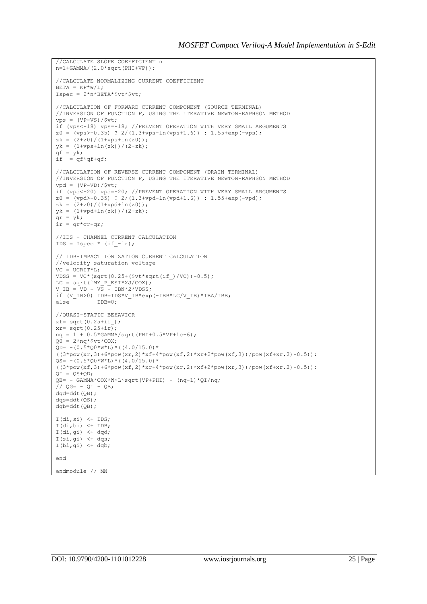```
//CALCULATE SLOPE COEFFICIENT n
n=1+GAMMA/(2.0*sqrt(PHI+VP));
//CALCULATE NORMALIZING CURRENT COEFFICIENT
BETA = KP*W/T:
Ispec = 2*n*BERTA*$vt*$vt;//CALCULATION OF FORWARD CURRENT COMPONENT (SOURCE TERMINAL) 
//INVERSION OF FUNCTION F, USING THE ITERATIVE NEWTON-RAPHSON METHOD 
vps = (VP-VS)/$vt;if (vps<-18) vps=-18; //PREVENT OPERATION WITH VERY SMALL ARGUMENTS
z0 = (vps > -0.35) ? 2/(1.3+vps-ln(vps+1.6)) : 1.55+exp(-vps);
zk = (2+z0)/(1+vps+ln(z0));
yk = (1+vps+ln(zk))/(2+zk);qf = yk;if = qf*qf+qf;//CALCULATION OF REVERSE CURRENT COMPONENT (DRAIN TERMINAL) 
//INVERSION OF FUNCTION F, USING THE ITERATIVE NEWTON-RAPHSON METHOD 
vpd = (VP-VD)/$vt;if (vpd<-20) vpd=-20; //PREVENT OPERATION WITH VERY SMALL ARGUMENTS
z0 = (vpd>-0.35) ? 2/(1.3+vpd-ln(vpd+1.6)) : 1.55+exp(-vpd);
z = (2+z0)/(1+vpd+ln(z0));yk = (1+vpd+ln(zk)) / (2+zk);\sigma r = v k;ir = qr*qr+qr;//IDS – CHANNEL CURRENT CALCULATION
IDS = Ispec * (if -ir);
// IDB-IMPACT IONIZATION CURRENT CALCULATION
//velocity saturation voltage
VC = UCRIT*L;
VDSS = VC*(sqrt(0.25+($vt*sqrt(if))/VC))-0.5);LC = sqrt(`MY P_ESI*XJ/COX);
V IB = VD - VS - IBN*2*VDSS;
i\overline{f} (V_IB>0) IDB=IDS*V_IB*exp(-IBB*LC/V_IB)*IBA/IBB;<br>else 			IDB=0:
            TDB=0:
//QUASI-STATIC BEHAVIOR
xf = sqrt(0.25 + if);
xr= sqrt(0.25+i\overline{r});nq = 1 + 0.5*GAMMA/sqrt(PHI+0.5*VP+1e-6);Q0 = 2 * nq * $vt * COX;QD= - (0.5*Q0*W*L)*( (4.0/15.0)*((3*pow(xr,3)+6*pow(xr,2)*xf+4*pow(xf,2)*xr+2*pow(xf,3))/pow(xf+xr,2)-0.5));OS= - (0.5*00*W*L)*(4.0/15.0)*((3*pow(xf,3)+6*pow(xf,2)*xr+4*pow(xr,2)*xf+2*pow(xr,3))/pow(xf+xr,2)-0.5));QI = QS+QD;QB = - GAMMA*COX*W*L*sqrt(VP+PHI) - (nq-1)*QI/nq;
// QG = - QI - QB;dqd=ddt(QB);
db=dd+O(2):
dqb=ddt(QB);
I(di,si) \leq + TDS:I(di,bi) \leq + IDB;
I(di,gi) <+ dqd;
I(si,qi) < dqs;
I(bi,ai) \leftarrow dab;
end
endmodule // MN
```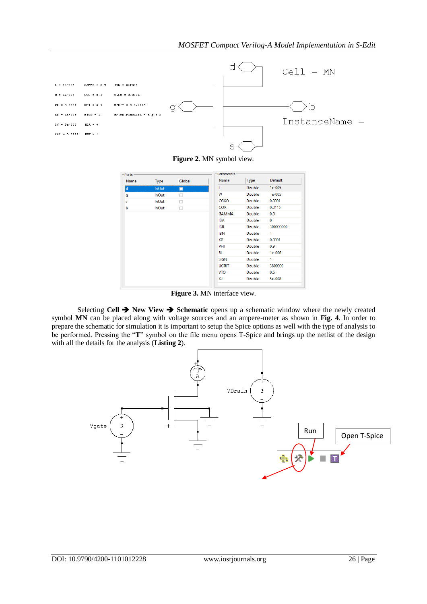

**Figure 2**. MN symbol view.

| Ports - |              |        | <b>Parameters</b> |        |              |
|---------|--------------|--------|-------------------|--------|--------------|
| Name    | Type         | Global | Name              | Type   | Default      |
| ld      | <b>InOut</b> | П      | L                 | Double | $1e-005$     |
| g       | <b>InOut</b> | □      | W                 | Double | $1e-005$     |
| s       | <b>InOut</b> | □      | CGXO              | Double | 0.0001       |
| b       | <b>InOut</b> | □      | COX               | Double | 0.0115       |
|         |              |        | <b>GAMMA</b>      | Double | 0.9          |
|         |              |        | <b>IBA</b>        | Double | $\mathbf{0}$ |
|         |              |        | <b>IBB</b>        | Double | 300000000    |
|         |              |        | <b>IBN</b>        | Double | 1            |
|         |              |        | KP                | Double | 0.0001       |
|         |              |        | PHI               | Double | 0.9          |
|         |              |        | RL                | Double | $1e-006$     |
|         |              |        | <b>SIGN</b>       | Double | 1            |
|         |              |        | <b>UCRIT</b>      | Double | 3800000      |
|         |              |        | <b>VTO</b>        | Double | 0.5          |
|         |              |        | XJ                | Double | 5e-008       |

**Figure 3.** MN interface view.

Selecting **Cell**  $\rightarrow$  **New View**  $\rightarrow$  **Schematic** opens up a schematic window where the newly created symbol **MN** can be placed along with voltage sources and an ampere-meter as shown in **Fig. 4**. In order to prepare the schematic for simulation it is important to setup the Spice options as well with the type of analysis to be performed. Pressing the "**T**" symbol on the file menu opens T-Spice and brings up the netlist of the design with all the details for the analysis (**Listing 2**).

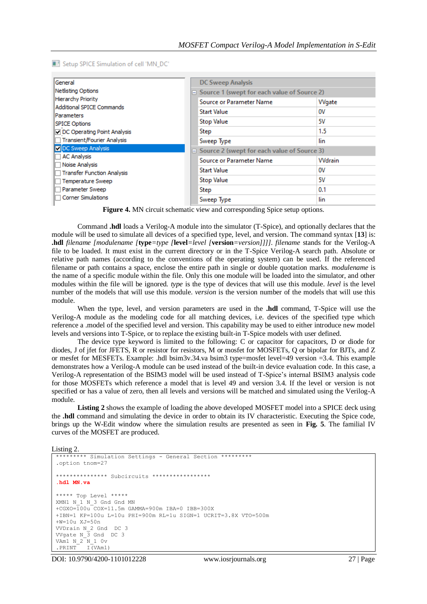Setup SPICE Simulation of cell 'MN\_DC'

| General<br>Netlisting Options<br><b>Hierarchy Priority</b><br><b>Additional SPICE Commands</b><br><b>IParameters</b><br><b>SPICE Options</b> |  | <b>DC Sweep Analysis</b>                           |               |  |  |  |
|----------------------------------------------------------------------------------------------------------------------------------------------|--|----------------------------------------------------|---------------|--|--|--|
|                                                                                                                                              |  | $\Box$ Source 1 (swept for each value of Source 2) |               |  |  |  |
|                                                                                                                                              |  | <b>Source or Parameter Name</b>                    | Wgate         |  |  |  |
|                                                                                                                                              |  | Start Value                                        | ov<br>5۷      |  |  |  |
|                                                                                                                                              |  | <b>Stop Value</b>                                  |               |  |  |  |
| DC Operating Point Analysis                                                                                                                  |  | Step                                               | 1.5           |  |  |  |
| Transient/Fourier Analysis                                                                                                                   |  | Sweep Type                                         | lin           |  |  |  |
| DC Sweep Analysis                                                                                                                            |  | $\Box$ Source 2 (swept for each value of Source 3) |               |  |  |  |
| <b>AC Analysis</b><br>Noise Analysis                                                                                                         |  | Source or Parameter Name                           | <b>Wdrain</b> |  |  |  |
| Transfer Function Analysis                                                                                                                   |  | <b>Start Value</b>                                 | ov            |  |  |  |
| Temperature Sweep                                                                                                                            |  | <b>Stop Value</b>                                  | 5۷            |  |  |  |
| Parameter Sweep                                                                                                                              |  | Step                                               | 0.1           |  |  |  |
| <b>Corner Simulations</b>                                                                                                                    |  | Sweep Type                                         | lin           |  |  |  |

**Figure 4.** MN circuit schematic view and corresponding Spice setup options.

 Command **.hdl** loads a Verilog-A module into the simulator (T-Spice), and optionally declares that the module will be used to simulate all devices of a specified type, level, and version. The command syntax [**13**] is: **.hdl** *filename [modulename [***type***=type [***level***=level [***version***=version]]]]. filename* stands for the Verilog-A file to be loaded. It must exist in the current directory or in the T-Spice Verilog-A search path. Absolute or relative path names (according to the conventions of the operating system) can be used. If the referenced filename or path contains a space, enclose the entire path in single or double quotation marks. *modulename* is the name of a specific module within the file. Only this one module will be loaded into the simulator, and other modules within the file will be ignored. *type* is the type of devices that will use this module. *level* is the level number of the models that will use this module. *version* is the version number of the models that will use this module.

When the type, level, and version parameters are used in the **.hdl** command, T-Spice will use the Verilog-A module as the modeling code for all matching devices, i.e. devices of the specified type which reference a .model of the specified level and version. This capability may be used to either introduce new model levels and versions into T-Spice, or to replace the existing built-in T-Spice models with user defined.

The device type keyword is limited to the following: C or capacitor for capacitors, D or diode for diodes, J of jfet for JFETS, R or resistor for resistors, M or mosfet for MOSFETs, Q or bipolar for BJTs, and Z or mesfet for MESFETs. Example: .hdl bsim3v.34.va bsim3 type=mosfet level=49 version =3.4. This example demonstrates how a Verilog-A module can be used instead of the built-in device evaluation code. In this case, a Verilog-A representation of the BSIM3 model will be used instead of T-Spice's internal BSIM3 analysis code for those MOSFETs which reference a model that is level 49 and version 3.4. If the level or version is not specified or has a value of zero, then all levels and versions will be matched and simulated using the Verilog-A module.

**Listing 2** shows the example of loading the above developed MOSFET model into a SPICE deck using the **.hdl** command and simulating the device in order to obtain its IV characteristic. Executing the Spice code, brings up the W-Edit window where the simulation results are presented as seen in **Fig. 5**. The familial IV curves of the MOSFET are produced.

Listing 2.

```
********* Simulation Settings - General Section *********
.option tnom=27
*************** Subcircuits *****************
.hdl MN.va
***** Top Level *****
XMN1 N_1 N_3 Gnd Gnd MN 
+CGXO=100u COX=11.5m GAMMA=900m IBA=0 IBB=300X 
+IBN=1 KP=100u L=10u PHI=900m RL=1u SIGN=1 UCRIT=3.8X VTO=500m 
+W=10u XJ=50n 
VVDrain N_2 Gnd DC 3 
VVgate N_3 Gnd DC 3 
VAm1 N_2 N_1 0v
.PRINT I(VAm1)
```